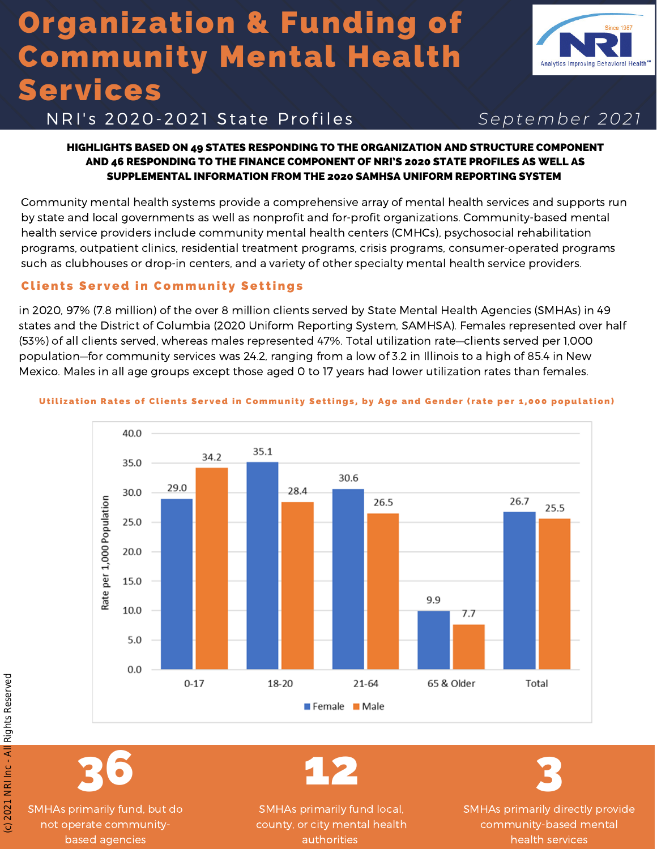# Organization & Funding of Community Mental Health Services



# N RI's 2020-2021 State Profiles September 2021

### HIGHLIGHTS BASED ON 49 STATES RESPONDING TO THE ORGANIZATION AND STRUCTURE COMPONENT AND 46 RESPONDING TO THE FINANCE COMPONENT OF NRI'S 2020 STATE PROFILES AS WELL AS

SUPPLEMENTAL INFORMATION FROM THE 2020 SAMHSA UNIFORM REPORTING SYSTEM

Community mental health systems provide a comprehensive array of mental health services and supports run by state and local governments as well as nonprofit and for-profit organizations. Community-based mental health service providers include community mental health centers (CMHCs), psychosocial rehabilitation programs, outpatient clinics, residential treatment programs, crisis programs, consumer-operated programs such as clubhouses or drop-in centers, and a variety of other specialty mental health service providers.

#### Clients Served in Community Settings

in 2020, 97% (7.8 million) of the over 8 million clients served by State Mental Health Agencies (SMHAs) in 49 states and the District of Columbia (2020 Uniform Reporting System, SAMHSA). Females represented over half (53%) of all clients served, whereas males represented 47%. Total utilization rate—clients served per 1,000 population—for community services was 24.2, ranging from a low of 3.2 in Illinois to a high of 85.4 in New Mexico. Males in all age groups except those aged 0 to 17 years had lower utilization rates than females.



#### Utilization Rates of Clients Served in Community Settings, by Age and Gender (rate per 1,000 population)



SMHAs primarily fund, but do not operate communitybased agencies



SMHAs primarily fund local, county, or city mental health authorities

3

SMHAs primarily directly provide community-based mental health services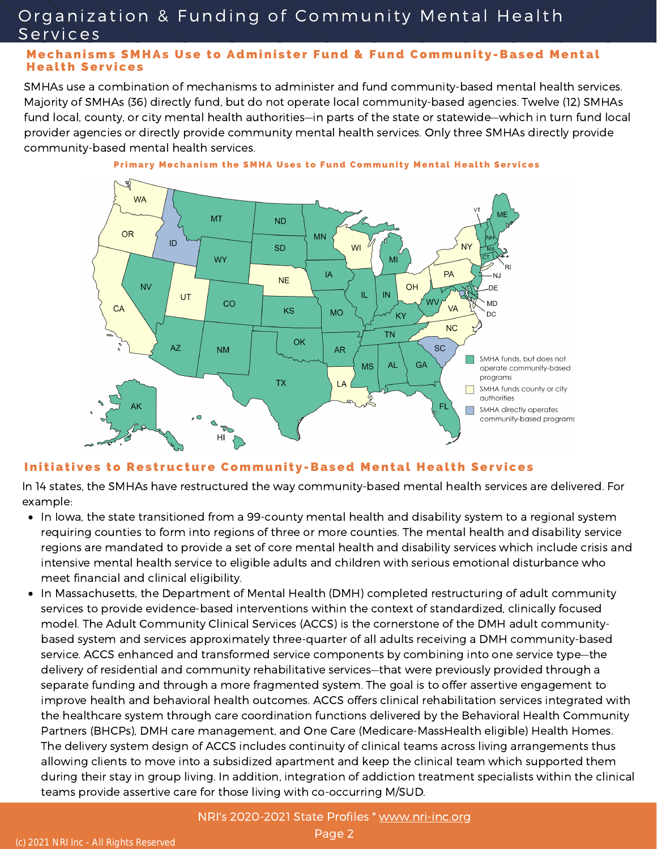# Organization & Funding of Community Mental Health **Services**

#### Mechanisms SMHAs Use to Administer Fund & Fund Community-Based Mental **Health Services**

SMHAs use a combination of mechanisms to administer and fund community-based mental health services. Majority of SMHAs (36) directly fund, but do not operate local community-based agencies. Twelve (12) SMHAs fund local, county, or city mental health authorities—in parts of the state or statewide—which in turn fund local provider agencies or directly provide community mental health services. Only three SMHAs directly provide community-based mental health services.





#### Initiatives to Restructure Community-Based Mental Health Services

In 14 states, the SMHAs have restructured the way community-based mental health services are delivered. For example:

- In Iowa, the state transitioned from a 99-county mental health and disability system to a regional system requiring counties to form into regions of three or more counties. The mental health and disability service regions are mandated to provide a set of core mental health and disability services which include crisis and intensive mental health service to eligible adults and children with serious emotional disturbance who meet financial and clinical eligibility.
- In Massachusetts, the Department of Mental Health (DMH) completed restructuring of adult community services to provide evidence-based interventions within the context of standardized, clinically focused model. The Adult Community Clinical Services (ACCS) is the cornerstone of the DMH adult communitybased system and services approximately three-quarter of all adults receiving a DMH community-based service. ACCS enhanced and transformed service components by combining into one service type—the delivery of residential and community rehabilitative services—that were previously provided through a separate funding and through a more fragmented system. The goal is to offer assertive engagement to improve health and behavioral health outcomes. ACCS offers clinical rehabilitation services integrated with the healthcare system through care coordination functions delivered by the Behavioral Health Community Partners (BHCPs), DMH care management, and One Care (Medicare-MassHealth eligible) Health Homes. The delivery system design of ACCS includes continuity of clinical teams across living arrangements thus allowing clients to move into a subsidized apartment and keep the clinical team which supported them during their stay in group living. In addition, integration of addiction treatment specialists within the clinical teams provide assertive care for those living with co-occurring M/SUD.

#### NRI's 2020-2021 State Profiles \* [www.nri-inc.org](http://www.nri-inc.org/)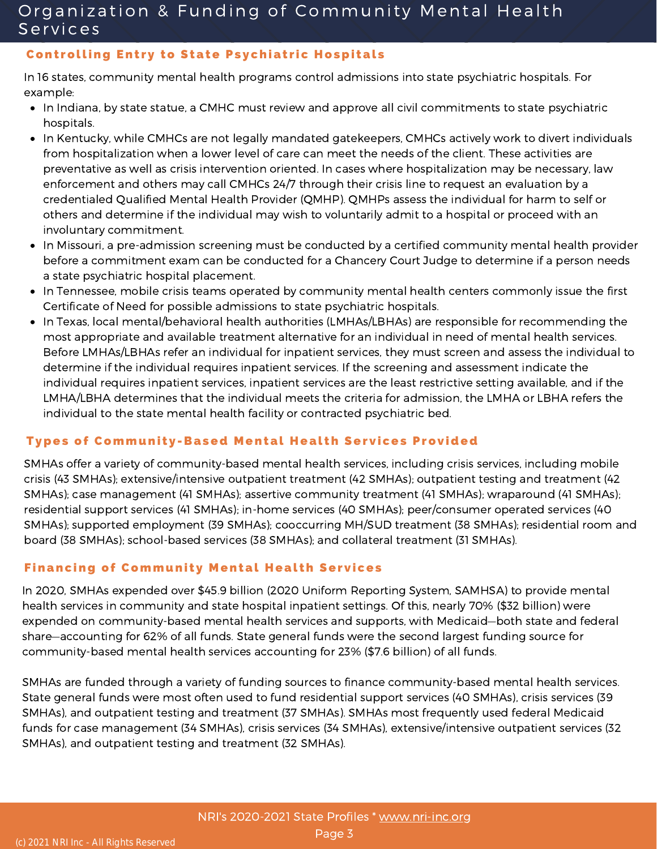## Organization & Funding of Community Mental Health **Services**

#### Controlling Entry to State Psychiatric Hospitals

In 16 states, community mental health programs control admissions into state psychiatric hospitals. For example:

- In Indiana, by state statue, a CMHC must review and approve all civil commitments to state psychiatric hospitals.
- In Kentucky, while CMHCs are not legally mandated gatekeepers, CMHCs actively work to divert individuals from hospitalization when a lower level of care can meet the needs of the client. These activities are preventative as well as crisis intervention oriented. In cases where hospitalization may be necessary, law enforcement and others may call CMHCs 24/7 through their crisis line to request an evaluation by a credentialed Qualified Mental Health Provider (QMHP). QMHPs assess the individual for harm to self or others and determine if the individual may wish to voluntarily admit to a hospital or proceed with an involuntary commitment.
- In Missouri, a pre-admission screening must be conducted by a certified community mental health provider before a commitment exam can be conducted for a Chancery Court Judge to determine if a person needs a state psychiatric hospital placement.
- In Tennessee, mobile crisis teams operated by community mental health centers commonly issue the first Certificate of Need for possible admissions to state psychiatric hospitals.
- In Texas, local mental/behavioral health authorities (LMHAs/LBHAs) are responsible for recommending the most appropriate and available treatment alternative for an individual in need of mental health services. Before LMHAs/LBHAs refer an individual for inpatient services, they must screen and assess the individual to determine if the individual requires inpatient services. If the screening and assessment indicate the individual requires inpatient services, inpatient services are the least restrictive setting available, and if the LMHA/LBHA determines that the individual meets the criteria for admission, the LMHA or LBHA refers the individual to the state mental health facility or contracted psychiatric bed.

#### Types of Community-Based Mental Health Services Provided

SMHAs offer a variety of community-based mental health services, including crisis services, including mobile crisis (43 SMHAs); extensive/intensive outpatient treatment (42 SMHAs); outpatient testing and treatment (42 SMHAs); case management (41 SMHAs); assertive community treatment (41 SMHAs); wraparound (41 SMHAs); residential support services (41 SMHAs); in-home services (40 SMHAs); peer/consumer operated services (40 SMHAs); supported employment (39 SMHAs); cooccurring MH/SUD treatment (38 SMHAs); residential room and board (38 SMHAs); school-based services (38 SMHAs); and collateral treatment (31 SMHAs).

#### Financing of Community Mental Health Services

In 2020, SMHAs expended over \$45.9 billion (2020 Uniform Reporting System, SAMHSA) to provide mental health services in community and state hospital inpatient settings. Of this, nearly 70% (\$32 billion) were expended on community-based mental health services and supports, with Medicaid—both state and federal share—accounting for 62% of all funds. State general funds were the second largest funding source for community-based mental health services accounting for 23% (\$7.6 billion) of all funds.

SMHAs are funded through a variety of funding sources to finance community-based mental health services. State general funds were most often used to fund residential support services (40 SMHAs), crisis services (39 SMHAs), and outpatient testing and treatment (37 SMHAs). SMHAs most frequently used federal Medicaid funds for case management (34 SMHAs), crisis services (34 SMHAs), extensive/intensive outpatient services (32 SMHAs), and outpatient testing and treatment (32 SMHAs).